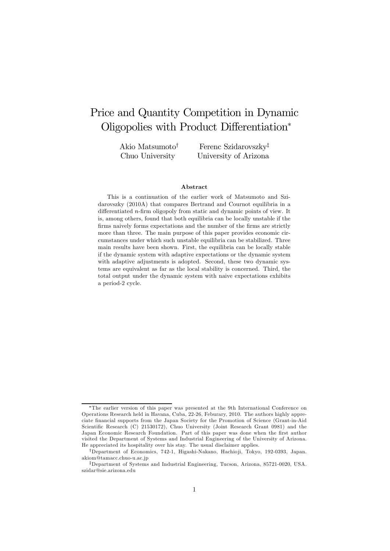## Price and Quantity Competition in Dynamic Oligopolies with Product Differentiation<sup>∗</sup>

Akio Matsumoto† Chuo University

Ferenc Szidarovszky‡ University of Arizona

#### Abstract

This is a continuation of the earlier work of Matsumoto and Szidarovszky (2010A) that compares Bertrand and Cournot equilibria in a differentiated n-firm oligopoly from static and dynamic points of view. It is, among others, found that both equilibria can be locally unstable if the firms naively forms expectations and the number of the firms are strictly more than three. The main purpose of this paper provides economic circumstances under which such unstable equilibria can be stabilized. Three main results have been shown. First, the equilibria can be locally stable if the dynamic system with adaptive expectations or the dynamic system with adaptive adjustments is adopted. Second, these two dynamic systems are equivalent as far as the local stability is concerned. Third, the total output under the dynamic system with naive expectations exhibits a period-2 cycle.

<sup>∗</sup>The earlier version of this paper was presented at the 9th International Conference on Operations Research held in Havana, Cuba, 22-26, Feburary, 2010. The authors highly appreciate financial supports from the Japan Society for the Promotion of Science (Grant-in-Aid Scientific Research (C) 21530172), Chuo University (Joint Research Grant 0981) and the Japan Economic Research Foundation. Part of this paper was done when the first author visited the Department of Systems and Industrial Engineering of the University of Arizona. He appreciated its hospitality over his stay. The usual disclaimer applies.

<sup>†</sup>Department of Economics, 742-1, Higashi-Nakano, Hachio ji, Tokyo, 192-0393, Japan. akiom@tamacc.chuo-u.ac.jp

<sup>‡</sup>Department of Systems and Industrial Engineering, Tucson, Arizona, 85721-0020, USA. szidar@sie.arizona.edu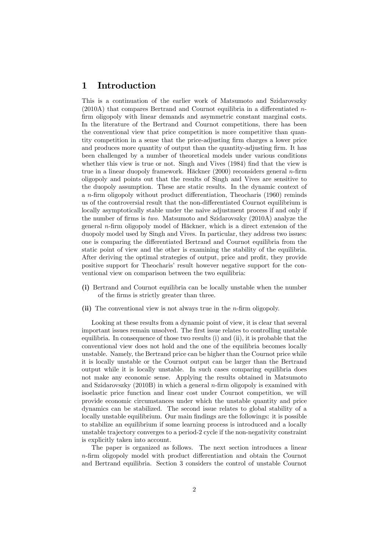## 1 Introduction

This is a continuation of the earlier work of Matsumoto and Szidarovszky (2010A) that compares Bertrand and Cournot equilibria in a differentiated nfirm oligopoly with linear demands and asymmetric constant marginal costs. In the literature of the Bertrand and Cournot competitions, there has been the conventional view that price competition is more competitive than quantity competition in a sense that the price-adjusting firm charges a lower price and produces more quantity of output than the quantity-adjusting firm. It has been challenged by a number of theoretical models under various conditions whether this view is true or not. Singh and Vives (1984) find that the view is true in a linear duopoly framework. Häckner  $(2000)$  reconsiders general *n*-firm oligopoly and points out that the results of Singh and Vives are sensitive to the duopoly assumption. These are static results. In the dynamic context of a  $n$ -firm oligopoly without product differentiation, Theocharis  $(1960)$  reminds us of the controversial result that the non-differentiated Cournot equilibrium is locally asymptotically stable under the naive adjustment process if and only if the number of firms is two. Matsumoto and Szidarovszky (2010A) analyze the general n-firm oligopoly model of Häckner, which is a direct extension of the duopoly model used by Singh and Vives. In particular, they address two issues: one is comparing the differentiated Bertrand and Cournot equilibria from the static point of view and the other is examining the stability of the equilibria. After deriving the optimal strategies of output, price and profit, they provide positive support for Theocharis' result however negative support for the conventional view on comparison between the two equilibria:

- (i) Bertrand and Cournot equilibria can be locally unstable when the number of the firms is strictly greater than three.
- (ii) The conventional view is not always true in the *n*-firm oligopoly.

Looking at these results from a dynamic point of view, it is clear that several important issues remain unsolved. The first issue relates to controlling unstable equilibria. In consequence of those two results (i) and (ii), it is probable that the conventional view does not hold and the one of the equilibria becomes locally unstable. Namely, the Bertrand price can be higher than the Cournot price while it is locally unstable or the Cournot output can be larger than the Bertrand output while it is locally unstable. In such cases comparing equilibria does not make any economic sense. Applying the results obtained in Matsumoto and Szidarovszky  $(2010B)$  in which a general *n*-firm oligopoly is examined with isoelastic price function and linear cost under Cournot competition, we will provide economic circumstances under which the unstable quantity and price dynamics can be stabilized. The second issue relates to global stability of a locally unstable equilibrium. Our main findings are the followings: it is possible to stabilize an equilibrium if some learning process is introduced and a locally unstable trajectory converges to a period-2 cycle if the non-negativity constraint is explicitly taken into account.

The paper is organized as follows. The next section introduces a linear n-firm oligopoly model with product differentiation and obtain the Cournot and Bertrand equilibria. Section 3 considers the control of unstable Cournot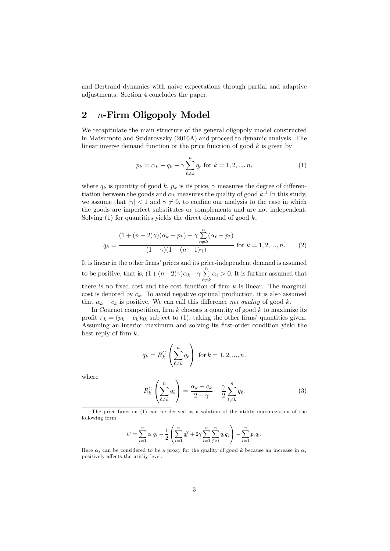and Bertrand dynamics with naive expectations through partial and adaptive adjustments. Section 4 concludes the paper.

## 2 n-Firm Oligopoly Model

We recapitulate the main structure of the general oligopoly model constructed in Matsumoto and Szidarovszky (2010A) and proceed to dynamic analysis. The linear inverse demand function or the price function of good  $k$  is given by

$$
p_k = \alpha_k - q_k - \gamma \sum_{\ell \neq k}^n q_\ell \text{ for } k = 1, 2, ..., n,
$$
 (1)

where  $q_k$  is quantity of good k,  $p_k$  is its price,  $\gamma$  measures the degree of differentiation between the goods and  $\alpha_k$  measures the quality of good  $k<sup>1</sup>$ . In this study, we assume that  $|\gamma| < 1$  and  $\gamma \neq 0$ , to confine our analysis to the case in which the goods are imperfect substitutes or complements and are not independent. Solving  $(1)$  for quantities yields the direct demand of good k,

$$
q_k = \frac{(1 + (n-2)\gamma)(\alpha_k - p_k) - \gamma \sum_{\ell \neq k}^n (\alpha_\ell - p_\ell)}{(1 - \gamma)(1 + (n-1)\gamma)}
$$
 for  $k = 1, 2, ..., n$ . (2)

It is linear in the other firms' prices and its price-independent demand is assumed to be positive, that is,  $(1 + (n-2)\gamma)\alpha_k - \gamma \sum_{\ell \neq k}^{n}$  $\alpha_{\ell} > 0$ . It is further assumed that there is no fixed cost and the cost function of firm  $k$  is linear. The marginal cost is denoted by  $c_k$ . To avoid negative optimal production, it is also assumed that  $\alpha_k - c_k$  is positive. We can call this difference net quality of good k.

In Cournot competition, firm  $k$  chooses a quantity of good  $k$  to maximize its profit  $\pi_k = (p_k - c_k)q_k$  subject to (1), taking the other firms' quantities given. Assuming an interior maximum and solving its first-order condition yield the best reply of firm  $k$ ,

$$
q_k = R_k^C \left(\sum_{\ell \neq k}^n q_\ell\right) \text{ for } k = 1, 2, ..., n.
$$

where

$$
R_k^C \left( \sum_{\ell \neq k}^n q_\ell \right) = \frac{\alpha_k - c_k}{2 - \gamma} - \frac{\gamma}{2} \sum_{\ell \neq k}^n q_\ell. \tag{3}
$$

$$
U = \sum_{i=1}^{n} \alpha_i q_i - \frac{1}{2} \left( \sum_{i=1}^{n} q_i^2 + 2\gamma \sum_{i=1}^{n} \sum_{j>i}^{n} q_i q_j \right) - \sum_{i=1}^{n} p_i q_i.
$$

Here  $\alpha_i$  can be considered to be a proxy for the quality of good k because an increase in  $\alpha_i$ positively affects the utitliy level.

<sup>&</sup>lt;sup>1</sup>The price function (1) can be derived as a solution of the utility maximization of the following form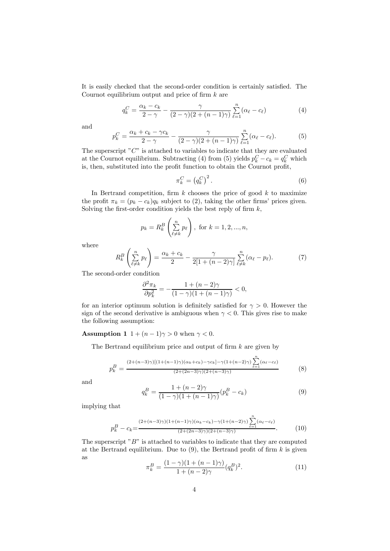It is easily checked that the second-order condition is certainly satisfied. The Cournot equilibrium output and price of firm  $k$  are

$$
q_k^C = \frac{\alpha_k - c_k}{2 - \gamma} - \frac{\gamma}{(2 - \gamma)(2 + (n - 1)\gamma)} \sum_{\ell=1}^n (\alpha_\ell - c_\ell)
$$
 (4)

and

$$
p_k^C = \frac{\alpha_k + c_k - \gamma c_k}{2 - \gamma} - \frac{\gamma}{(2 - \gamma)(2 + (n - 1)\gamma)} \sum_{\ell=1}^n (\alpha_\ell - c_\ell).
$$
 (5)

The superscript  $C^{\prime\prime}$  is attached to variables to indicate that they are evaluated at the Cournot equilibrium. Subtracting (4) from (5) yields  $p_k^C - c_k = q_k^C$  which is, then, substituted into the profit function to obtain the Cournot profit,

$$
\pi_k^C = \left(q_k^C\right)^2. \tag{6}
$$

In Bertrand competition, firm  $k$  chooses the price of good  $k$  to maximize the profit  $\pi_k = (p_k - c_k)q_k$  subject to (2), taking the other firms' prices given. Solving the first-order condition yields the best reply of firm  $k$ ,

$$
p_k = R_k^B \left( \sum_{\ell \neq k}^n p_\ell \right)
$$
, for  $k = 1, 2, ..., n$ ,

where

$$
R_k^B\left(\sum_{\ell\neq k}^n p_\ell\right) = \frac{\alpha_k + c_k}{2} - \frac{\gamma}{2[1 + (n-2)\gamma]} \sum_{\ell\neq k}^n (\alpha_\ell - p_\ell). \tag{7}
$$

The second-order condition

$$
\frac{\partial^2 \pi_k}{\partial p_k^2} = -\frac{1 + (n-2)\gamma}{(1-\gamma)(1 + (n-1)\gamma)} < 0,
$$

for an interior optimum solution is definitely satisfied for  $\gamma > 0$ . However the sign of the second derivative is ambiguous when  $\gamma < 0$ . This gives rise to make the following assumption:

**Assumption 1**  $1 + (n - 1)\gamma > 0$  when  $\gamma < 0$ .

The Bertrand equilibrium price and output of firm  $k$  are given by

$$
p_k^B = \frac{(2+(n-3)\gamma)[(1+(n-1)\gamma)(\alpha_k+c_k)-\gamma c_k]-\gamma(1+(n-2)\gamma)}{(2+(2n-3)\gamma)(2+(n-3)\gamma)} \sum_{\ell=1}^n (\alpha_\ell-c_\ell)
$$
(8)

and

$$
q_k^B = \frac{1 + (n-2)\gamma}{(1-\gamma)(1 + (n-1)\gamma)} (p_k^B - c_k)
$$
\n(9)

implying that

$$
p_k^B - c_k = \frac{(2 + (n-3)\gamma)(1 + (n-1)\gamma)(\alpha_k - c_k) - \gamma(1 + (n-2)\gamma)\sum_{\ell=1}^n (\alpha_\ell - c_\ell)}{(2 + (2n-3)\gamma)(2 + (n-3)\gamma)}.
$$
(10)

The superscript  $B$ " is attached to variables to indicate that they are computed at the Bertrand equilibrium. Due to  $(9)$ , the Bertrand profit of firm k is given as

$$
\pi_k^B = \frac{(1 - \gamma)(1 + (n - 1)\gamma)}{1 + (n - 2)\gamma} (q_k^B)^2.
$$
\n(11)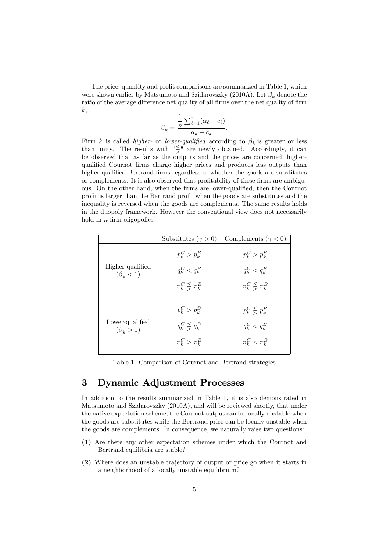The price, quantity and profit comparisons are summarized in Table 1, which were shown earlier by Matsumoto and Szidarovszky (2010A). Let  $\beta_k$  denote the ratio of the average difference net quality of all firms over the net quality of firm  $k,$ 

$$
\beta_k = \frac{\frac{1}{n} \sum_{\ell=1}^n (\alpha_\ell - c_\ell)}{\alpha_k - c_k}.
$$

Firm k is called higher- or lower-qualified according to  $\beta_k$  is greater or less than unity. The results with  $\sqrt[m]{s}$  are newly obtained. Accordingly, it can be observed that as far as the outputs and the prices are concerned, higherqualified Cournot firms charge higher prices and produces less outputs than higher-qualified Bertrand firms regardless of whether the goods are substitutes or complements. It is also observed that profitability of these firms are ambiguous. On the other hand, when the firms are lower-qualified, then the Cournot profit is larger than the Bertrand profit when the goods are substitutes and the inequality is reversed when the goods are complements. The same results holds in the duopoly framework. However the conventional view does not necessarily hold in *n*-firm oligopolies.

|                                     | Substitutes ( $\gamma > 0$ )                                 | Complements ( $\gamma$ < 0)                                  |
|-------------------------------------|--------------------------------------------------------------|--------------------------------------------------------------|
| Higher-qualified<br>$(\beta_k < 1)$ | $p_k^C > p_k^B$<br>$q_k^C < q_k^B$<br>$\pi_k^C \leq \pi_k^B$ | $p_k^C > p_k^B$<br>$q_k^C < q_k^B$<br>$\pi_k^C \leq \pi_k^B$ |
| Lower-qualified<br>$(\beta_k > 1)$  | $p_k^C > p_k^B$<br>$q_k^C \leq q_k^B$<br>$\pi_k^C > \pi_k^B$ | $p_k^C \leq p_k^B$<br>$q_k^C < q_k^B$<br>$\pi_k^C < \pi_k^B$ |

Table 1. Comparison of Cournot and Bertrand strategies

## 3 Dynamic Adjustment Processes

In addition to the results summarized in Table 1, it is also demonstrated in Matsumoto and Szidarovszky (2010A), and will be reviewed shortly, that under the native expectation scheme, the Cournot output can be locally unstable when the goods are substitutes while the Bertrand price can be locally unstable when the goods are complements. In consequence, we naturally raise two questions:

- (1) Are there any other expectation schemes under which the Cournot and Bertrand equilibria are stable?
- (2) Where does an unstable trajectory of output or price go when it starts in a neighborhood of a locally unstable equilibrium?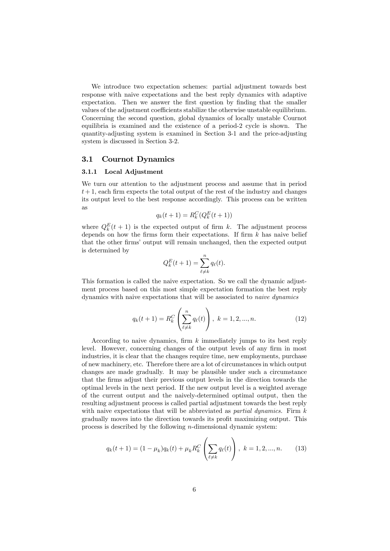We introduce two expectation schemes: partial adjustment towards best response with naive expectations and the best reply dynamics with adaptive expectation. Then we answer the first question by finding that the smaller values of the adjustment coefficients stabilize the otherwise unstable equilibrium. Concerning the second question, global dynamics of locally unstable Cournot equilibria is examined and the existence of a period-2 cycle is shown. The quantity-adjusting system is examined in Section 3-1 and the price-adjusting system is discussed in Section 3-2.

#### 3.1 Cournot Dynamics

#### 3.1.1 Local Adjustment

We turn our attention to the adjustment process and assume that in period  $t + 1$ , each firm expects the total output of the rest of the industry and changes its output level to the best response accordingly. This process can be written as

$$
q_k(t+1) = R_k^C(Q_k^E(t+1))
$$

where  $Q_k^E(t+1)$  is the expected output of firm k. The adjustment process depends on how the firms form their expectations. If firm  $k$  has naive belief that the other firms' output will remain unchanged, then the expected output is determined by

$$
Q_k^E(t+1) = \sum_{\ell \neq k}^n q_\ell(t).
$$

This formation is called the naive expectation. So we call the dynamic adjustment process based on this most simple expectation formation the best reply dynamics with naive expectations that will be associated to naive dynamics

$$
q_k(t+1) = R_k^C \left( \sum_{\ell \neq k}^n q_\ell(t) \right), \ k = 1, 2, ..., n. \tag{12}
$$

According to naive dynamics, firm k immediately jumps to its best reply level. However, concerning changes of the output levels of any firm in most industries, it is clear that the changes require time, new employments, purchase of new machinery, etc. Therefore there are a lot of circumstances in which output changes are made gradually. It may be plausible under such a circumstance that the firms adjust their previous output levels in the direction towards the optimal levels in the next period. If the new output level is a weighted average of the current output and the naively-determined optimal output, then the resulting adjustment process is called partial adjustment towards the best reply with naive expectations that will be abbreviated as *partial dynamics*. Firm  $k$ gradually moves into the direction towards its profit maximizing output. This process is described by the following n-dimensional dynamic system:

$$
q_k(t+1) = (1 - \mu_k)q_k(t) + \mu_k R_k^C \left(\sum_{\ell \neq k} q_\ell(t)\right), \ k = 1, 2, ..., n. \tag{13}
$$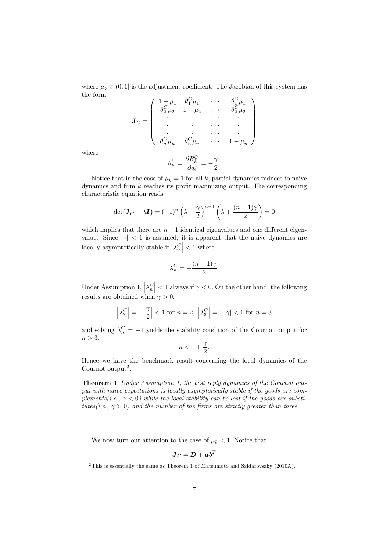where  $\mu_k \in (0, 1]$  is the adjustment coefficient. The Jacobian of this system has the form

$$
\mathbf{J}_C = \begin{pmatrix} 1 - \mu_1 & \theta_1^C \mu_1 & \cdots & \theta_1^C \mu_1 \\ \theta_2^C \mu_2 & 1 - \mu_2 & \cdots & \theta_2^C \mu_2 \\ \vdots & \vdots & \ddots & \vdots \\ \theta_n^C \mu_n & \theta_n^C \mu_n & \cdots & 1 - \mu_n \end{pmatrix}
$$

$$
\theta_1^C = \frac{\partial R_k^C}{\partial \theta_k^C} = -\frac{\gamma}{\sqrt{\pi \mu_1^C}}
$$

where

$$
\theta_k^C = \frac{\partial R_k^C}{\partial q_\ell} = -\frac{\gamma}{2}.
$$

Notice that in the case of  $\mu_k = 1$  for all k, partial dynamics reduces to naive dynamics and firm  $k$  reaches its profit maximizing output. The corresponding characteristic equation reads

$$
\det(\mathbf{J}_C - \lambda \mathbf{I}) = (-1)^n \left(\lambda - \frac{\gamma}{2}\right)^{n-1} \left(\lambda + \frac{(n-1)\gamma}{2}\right) = 0
$$

which implies that there are  $n - 1$  identical eigenvalues and one different eigenvalue. Since  $|\gamma|$  < 1 is assumed, it is apparent that the naive dynamics are locally asymptotically stable if  $\left| \lambda_n^C \right| < 1$  where

$$
\lambda_n^C = -\frac{(n-1)\gamma}{2}.
$$

Under Assumption 1,  $\left|\lambda_n^C\right| < 1$  always if  $\gamma < 0$ . On the other hand, the following results are obtained when  $\gamma > 0$ :

$$
\left|\lambda_2^C\right| = \left|-\frac{\gamma}{2}\right| < 1 \text{ for } n = 2, \ \left|\lambda_3^C\right| = \left|-\gamma\right| < 1 \text{ for } n = 3
$$

and solving  $\lambda_n^C = -1$  yields the stability condition of the Cournot output for  $n > 3$ ,

$$
n<1+\frac{\gamma}{2}.
$$

Hence we have the benchmark result concerning the local dynamics of the Cournot output<sup>2</sup>:

Theorem 1 Under Assumption 1, the best reply dynamics of the Cournot output with naive expectations is locally asymptotically stable if the goods are complements(i.e.,  $\gamma$  < 0) while the local stability can be lost if the goods are substitutes(i.e.,  $\gamma > 0$ ) and the number of the firms are strictly greater than three.

We now turn our attention to the case of  $\mu_k < 1$ . Notice that

$$
\bm{J}_C=\bm{D}+\bm{a}\bm{b}^T
$$

<sup>2</sup>This is essentially the same as Theorem 1 of Matsumoto and Szidarovszky (2010A).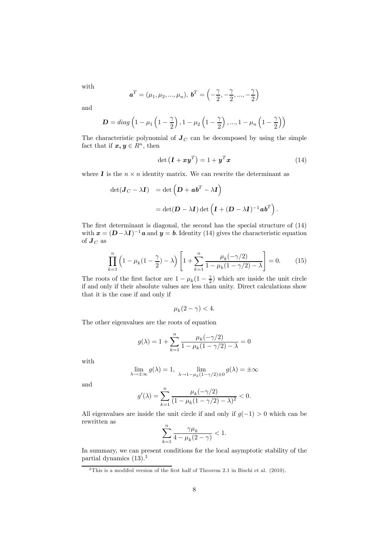with

$$
\mathbf{a}^T = (\mu_1, \mu_2, ..., \mu_n), \mathbf{b}^T = \left(-\frac{\gamma}{2}, -\frac{\gamma}{2}, ..., -\frac{\gamma}{2}\right)
$$

and

$$
\mathbf{D} = diag\left(1 - \mu_1\left(1 - \frac{\gamma}{2}\right), 1 - \mu_2\left(1 - \frac{\gamma}{2}\right), ..., 1 - \mu_n\left(1 - \frac{\gamma}{2}\right)\right)
$$

The characteristic polynomial of  $J_C$  can be decomposed by using the simple fact that if  $x, y \in \mathbb{R}^n$ , then

$$
\det\left(\mathbf{I} + \mathbf{x}\mathbf{y}^T\right) = 1 + \mathbf{y}^T \mathbf{x} \tag{14}
$$

where  $\bf{I}$  is the  $n \times n$  identity matrix. We can rewrite the determinant as

$$
\begin{array}{ll} \displaystyle \det(\bm{J}_C - \lambda \bm{I}) & = \displaystyle \det\left(\bm{D} + \bm{a}\bm{b}^T - \lambda \bm{I}\right) \\ \\ \displaystyle & = \displaystyle \det(\bm{D} - \lambda \bm{I}) \det\left(\bm{I} + (\bm{D} - \lambda \bm{I})^{-1} \bm{a}\bm{b}^T\right). \end{array}
$$

The first determinant is diagonal, the second has the special structure of (14) with  $x = (D - \lambda I)^{-1}a$  and  $y = b$ . Identity (14) gives the characteristic equation of  $\boldsymbol{J}_C$  as

$$
\prod_{k=1}^{n} \left( 1 - \mu_k (1 - \frac{\gamma}{2}) - \lambda \right) \left[ 1 + \sum_{k=1}^{n} \frac{\mu_k (-\gamma/2)}{1 - \mu_k (1 - \gamma/2) - \lambda} \right] = 0. \tag{15}
$$

The roots of the first factor are  $1 - \mu_k(1 - \frac{\gamma}{2})$  which are inside the unit circle if and only if their absolute values are less than unity. Direct calculations show that it is the case if and only if

$$
\mu_k(2-\gamma) < 4.
$$

The other eigenvalues are the roots of equation

$$
g(\lambda) = 1 + \sum_{k=1}^{n} \frac{\mu_k(-\gamma/2)}{1 - \mu_k(1 - \gamma/2) - \lambda} = 0
$$

with

$$
\lim_{\lambda \to \pm \infty} g(\lambda) = 1, \quad \lim_{\lambda \to 1 - \mu_k(1 - \gamma/2) \pm 0} g(\lambda) = \pm \infty
$$

and

$$
g'(\lambda) = \sum_{k=1}^{n} \frac{\mu_k(-\gamma/2)}{(1 - \mu_k(1 - \gamma/2) - \lambda)^2} < 0.
$$

All eigenvalues are inside the unit circle if and only if  $g(-1) > 0$  which can be rewritten as  $\overline{v}$ 

$$
\sum_{k=1}^{n} \frac{\gamma \mu_k}{4 - \mu_k (2 - \gamma)} < 1.
$$

In summary, we can present conditions for the local asymptotic stability of the partial dynamics  $(13).<sup>3</sup>$ 

<sup>&</sup>lt;sup>3</sup>This is a modifed version of the first half of Theorem 2.1 in Bischi et al. (2010).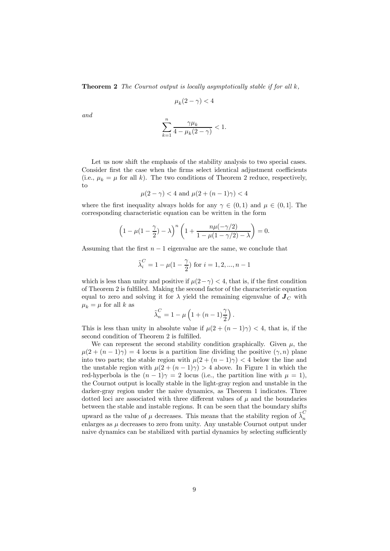**Theorem 2** The Cournot output is locally asymptotically stable if for all  $k$ ,

$$
\mu_k(2-\gamma) < 4
$$

and

$$
\sum_{k=1}^{n} \frac{\gamma \mu_k}{4 - \mu_k (2 - \gamma)} < 1.
$$

Let us now shift the emphasis of the stability analysis to two special cases. Consider first the case when the firms select identical adjustment coefficients (i.e.,  $\mu_k = \mu$  for all k). The two conditions of Theorem 2 reduce, respectively, to

$$
\mu(2-\gamma) < 4
$$
 and  $\mu(2+(n-1)\gamma) < 4$ 

where the first inequality always holds for any  $\gamma \in (0, 1)$  and  $\mu \in (0, 1]$ . The corresponding characteristic equation can be written in the form

$$
\left(1 - \mu(1 - \frac{\gamma}{2}) - \lambda\right)^n \left(1 + \frac{n\mu(-\gamma/2)}{1 - \mu(1 - \gamma/2) - \lambda}\right) = 0.
$$

Assuming that the first  $n - 1$  eigenvalue are the same, we conclude that

$$
\tilde{\lambda}_i^C = 1 - \mu(1 - \frac{\gamma}{2})
$$
 for  $i = 1, 2, ..., n - 1$ 

which is less than unity and positive if  $\mu(2-\gamma) < 4$ , that is, if the first condition of Theorem 2 is fulfilled. Making the second factor of the characteristic equation equal to zero and solving it for  $\lambda$  yield the remaining eigenvalue of  $J_C$  with  $\mu_k = \mu$  for all k as

$$
\tilde{\lambda}_n^C = 1 - \mu \left( 1 + (n-1) \frac{\gamma}{2} \right).
$$

This is less than unity in absolute value if  $\mu(2 + (n-1)\gamma) < 4$ , that is, if the second condition of Theorem 2 is fulfilled.

We can represent the second stability condition graphically. Given  $\mu$ , the  $\mu(2 + (n-1)\gamma) = 4$  locus is a partition line dividing the positive  $(\gamma, n)$  plane into two parts; the stable region with  $\mu(2 + (n-1)\gamma) < 4$  below the line and the unstable region with  $\mu(2 + (n-1)\gamma) > 4$  above. In Figure 1 in which the red-hyperbola is the  $(n-1)\gamma = 2$  locus (i.e., the partition line with  $\mu = 1$ ), the Cournot output is locally stable in the light-gray region and unstable in the darker-gray region under the naive dynamics, as Theorem 1 indicates. Three dotted loci are associated with three different values of  $\mu$  and the boundaries between the stable and instable regions. It can be seen that the boundary shifts upward as the value of  $\mu$  decreases. This means that the stability region of  $\tilde{\lambda}_n^C$ enlarges as  $\mu$  decreases to zero from unity. Any unstable Cournot output under naive dynamics can be stabilized with partial dynamics by selecting sufficiently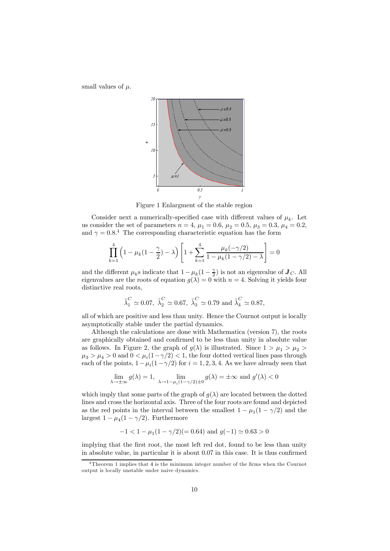small values of  $\mu$ .



Figure 1 Enlargment of the stable region

Consider next a numerically-specified case with different values of  $\mu_k$ . Let us consider the set of parameters  $n = 4$ ,  $\mu_1 = 0.6$ ,  $\mu_2 = 0.5$ ,  $\mu_3 = 0.3$ ,  $\mu_4 = 0.2$ , and  $\gamma = 0.8$ <sup>4</sup> The corresponding characteristic equation has the form

$$
\prod_{k=1}^{4} \left( 1 - \mu_k (1 - \frac{\gamma}{2}) - \lambda \right) \left[ 1 + \sum_{k=1}^{4} \frac{\mu_k (-\gamma/2)}{1 - \mu_k (1 - \gamma/2) - \lambda} \right] = 0
$$

and the different  $\mu_k$ s indicate that  $1 - \mu_k(1 - \frac{\gamma}{2})$  is not an eigenvalue of  $\mathbf{J}_C$ . All eigenvalues are the roots of equation  $g(\lambda)=0$  with  $n = 4$ . Solving it yields four distinctive real roots,

$$
\tilde{\lambda}_1^C \simeq 0.07
$$
,  $\tilde{\lambda}_2^C \simeq 0.67$ ,  $\tilde{\lambda}_3^C \simeq 0.79$  and  $\tilde{\lambda}_4^C \simeq 0.87$ ,

all of which are positive and less than unity. Hence the Cournot output is locally asymptotically stable under the partial dynamics.

Although the calculations are done with Mathematica (version 7), the roots are graphically obtained and confirmed to be less than unity in absolute value as follows. In Figure 2, the graph of  $g(\lambda)$  is illustrated. Since  $1 > \mu_1 > \mu_2 >$  $\mu_3 > \mu_4 > 0$  and  $0 < \mu_i(1-\gamma/2) < 1$ , the four dotted vertical lines pass through each of the points,  $1-\mu_i(1-\gamma/2)$  for  $i=1,2,3,4$ . As we have already seen that

$$
\lim_{\lambda \to \pm \infty} g(\lambda) = 1, \quad \lim_{\lambda \to 1 - \mu_i(1 - \gamma/2) \pm 0} g(\lambda) = \pm \infty \text{ and } g'(\lambda) < 0
$$

which imply that some parts of the graph of  $g(\lambda)$  are located between the dotted lines and cross the horizontal axis. Three of the four roots are found and depicted as the red points in the interval between the smallest  $1 - \mu_1(1 - \gamma/2)$  and the largest  $1 - \mu_4(1 - \gamma/2)$ . Furthermore

$$
-1 < 1 - \mu_1 (1 - \gamma/2)(= 0.64) \text{ and } g(-1) \simeq 0.63 > 0
$$

implying that the first root, the most left red dot, found to be less than unity in absolute value, in particular it is about 0.07 in this case. It is thus confirmed

<sup>4</sup>Theorem 1 implies that 4 is the minimum integer number of the firms when the Cournot output is locally unstable under naive dynamics.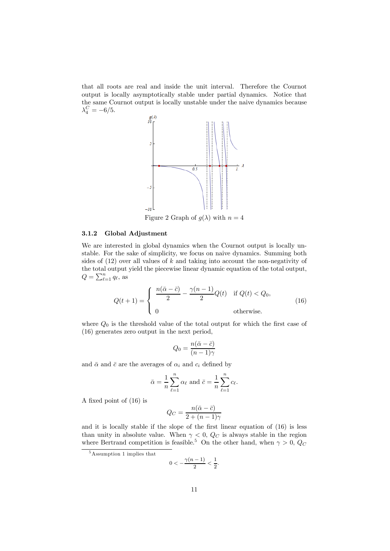that all roots are real and inside the unit interval. Therefore the Cournot output is locally asymptotically stable under partial dynamics. Notice that the same Cournot output is locally unstable under the naive dynamics because  $\lambda_4^C = -6/5.$ 



Figure 2 Graph of  $g(\lambda)$  with  $n = 4$ 

#### 3.1.2 Global Adjustment

We are interested in global dynamics when the Cournot output is locally unstable. For the sake of simplicity, we focus on naive dynamics. Summing both sides of  $(12)$  over all values of k and taking into account the non-negativity of the total output yield the piecewise linear dynamic equation of the total output,  $Q = \sum_{\ell=1}^{n} q_{\ell}$ , as

$$
Q(t+1) = \begin{cases} \frac{n(\bar{\alpha} - \bar{c})}{2} - \frac{\gamma(n-1)}{2}Q(t) & \text{if } Q(t) < Q_0, \\ 0 & \text{otherwise.} \end{cases}
$$
(16)

where  $Q_0$  is the threshold value of the total output for which the first case of (16) generates zero output in the next period,

$$
Q_0 = \frac{n(\bar{\alpha} - \bar{c})}{(n-1)\gamma}
$$

and  $\bar{\alpha}$  and  $\bar{c}$  are the averages of  $\alpha_i$  and  $c_i$  defined by

$$
\bar{\alpha} = \frac{1}{n} \sum_{\ell=1}^{n} \alpha_{\ell}
$$
 and  $\bar{c} = \frac{1}{n} \sum_{\ell=1}^{n} c_{\ell}$ .

A fixed point of (16) is

$$
Q_C = \frac{n(\bar{\alpha} - \bar{c})}{2 + (n - 1)\gamma}
$$

and it is locally stable if the slope of the first linear equation of (16) is less than unity in absolute value. When  $\gamma < 0$ ,  $Q_C$  is always stable in the region where Bertrand competition is feasible.<sup>5</sup> On the other hand, when  $\gamma > 0$ ,  $Q_C$ 

$$
0<-\frac{\gamma(n-1)}{2}<\frac{1}{2}.
$$

<sup>5</sup>Assumption 1 implies that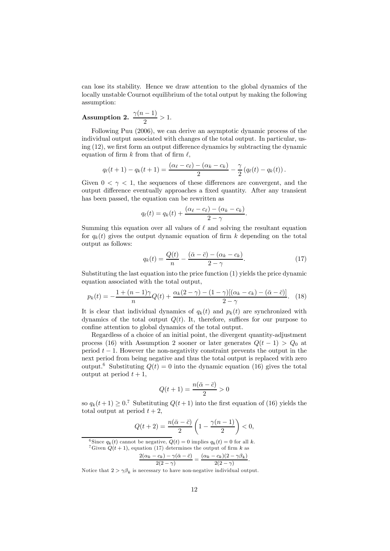can lose its stability. Hence we draw attention to the global dynamics of the locally unstable Cournot equilibrium of the total output by making the following assumption:

# Assumption 2.  $\frac{\gamma(n-1)}{2} > 1$ .

Following Puu (2006), we can derive an asymptotic dynamic process of the individual output associated with changes of the total output. In particular, using (12), we first form an output difference dynamics by subtracting the dynamic equation of firm k from that of firm  $\ell$ .

$$
q_{\ell}(t+1) - q_{k}(t+1) = \frac{(\alpha_{\ell} - c_{\ell}) - (\alpha_{k} - c_{k})}{2} - \frac{\gamma}{2} (q_{\ell}(t) - q_{k}(t)).
$$

Given  $0 < \gamma < 1$ , the sequences of these differences are convergent, and the output difference eventually approaches a fixed quantity. After any transient has been passed, the equation can be rewritten as

$$
q_{\ell}(t) = q_k(t) + \frac{(\alpha_{\ell} - c_{\ell}) - (\alpha_k - c_k)}{2 - \gamma}.
$$

Summing this equation over all values of  $\ell$  and solving the resultant equation for  $q_k(t)$  gives the output dynamic equation of firm k depending on the total output as follows:

$$
q_k(t) = \frac{Q(t)}{n} - \frac{(\bar{\alpha} - \bar{c}) - (\alpha_k - c_k)}{2 - \gamma}.
$$
 (17)

Substituting the last equation into the price function (1) yields the price dynamic equation associated with the total output,

$$
p_k(t) = -\frac{1 + (n-1)\gamma}{n}Q(t) + \frac{\alpha_k(2-\gamma) - (1-\gamma)[(\alpha_k - c_k) - (\bar{\alpha} - \bar{c})]}{2-\gamma}.
$$
 (18)

It is clear that individual dynamics of  $q_k(t)$  and  $p_k(t)$  are synchronized with dynamics of the total output  $Q(t)$ . It, therefore, suffices for our purpose to confine attention to global dynamics of the total output.

Regardless of a choice of an initial point, the divergent quantity-adjustment process (16) with Assumption 2 sooner or later generates  $Q(t-1) > Q_0$  at period  $t - 1$ . However the non-negativity constraint prevents the output in the next period from being negative and thus the total output is replaced with zero output.<sup>6</sup> Substituting  $Q(t)=0$  into the dynamic equation (16) gives the total output at period  $t + 1$ ,

$$
Q(t+1) = \frac{n(\bar{\alpha} - \bar{c})}{2} > 0
$$

so  $q_k(t+1) \geq 0$ .<sup>7</sup> Substituting  $Q(t+1)$  into the first equation of (16) yields the total output at period  $t + 2$ ,

$$
Q(t+2) = \frac{n(\bar{\alpha} - \bar{c})}{2} \left(1 - \frac{\gamma(n-1)}{2}\right) < 0,
$$

<sup>6</sup> Since  $q_k(t)$  cannot be negative,  $Q(t) = 0$  implies  $q_k(t) = 0$  for all k. <sup>7</sup>Given  $Q(t + 1)$ , equation (17) determines the output of firm k as

$$
Q(t+1), \text{ equation (17) determines the output of firm } k \text{ as}
$$

$$
\frac{2(\alpha_k - c_k) - \gamma(\bar{\alpha} - \bar{c})}{2(2-\gamma)} = \frac{(\alpha_k - c_k)(2-\gamma\beta_k)}{2(2-\gamma)}.
$$

Notice that  $2 > \gamma \beta_k$  is necessary to have non-negative individual output.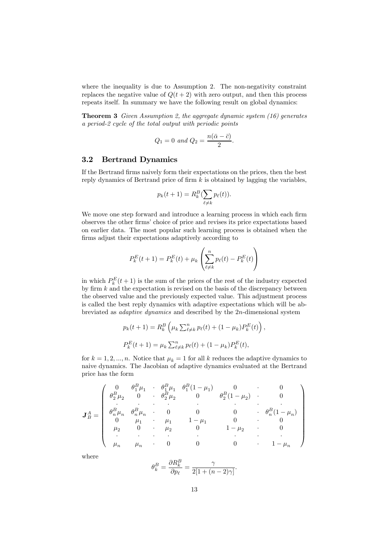where the inequality is due to Assumption 2. The non-negativity constraint replaces the negative value of  $Q(t + 2)$  with zero output, and then this process repeats itself. In summary we have the following result on global dynamics:

**Theorem 3** Given Assumption 2, the aggregate dynamic system  $(16)$  generates a period-2 cycle of the total output with periodic points

$$
Q_1 = 0 \text{ and } Q_2 = \frac{n(\bar{\alpha} - \bar{c})}{2}.
$$

#### 3.2 Bertrand Dynamics

If the Bertrand firms naively form their expectations on the prices, then the best reply dynamics of Bertrand price of firm  $k$  is obtained by lagging the variables,

$$
p_k(t+1) = R_k^B(\sum_{\ell \neq k} p_\ell(t)).
$$

We move one step forward and introduce a learning process in which each firm observes the other firms' choice of price and revises its price expectations based on earlier data. The most popular such learning process is obtained when the firms adjust their expectations adaptively according to

$$
P_k^{E}(t+1) = P_k^{E}(t) + \mu_k \left( \sum_{\ell \neq k}^{n} p_{\ell}(t) - P_k^{E}(t) \right)
$$

in which  $P_k^E(t+1)$  is the sum of the prices of the rest of the industry expected by firm  $k$  and the expectation is revised on the basis of the discrepancy between the observed value and the previously expected value. This adjustment process is called the best reply dynamics with adaptive expectations which will be abbreviated as adaptive dynamics and described by the 2n-dimensional system

$$
p_k(t+1) = R_k^B \left(\mu_k \sum_{\ell \neq k}^n p_\ell(t) + (1 - \mu_k) P_k^E(t)\right)
$$
  

$$
P_k^E(t+1) = \mu_k \sum_{\ell \neq k}^n p_\ell(t) + (1 - \mu_k) P_k^E(t),
$$

,

for  $k = 1, 2, ..., n$ . Notice that  $\mu_k = 1$  for all k reduces the adaptive dynamics to naive dynamics. The Jacobian of adaptive dynamics evaluated at the Bertrand price has the form

$$
\mathbf{J}_{B}^{A} = \begin{pmatrix}\n0 & \theta_{1}^{B}\mu_{1} & \theta_{1}^{B}(1-\mu_{1}) & 0 & 0 \\
\theta_{2}^{B}\mu_{2} & 0 & \theta_{2}^{B}\mu_{2} & 0 & \theta_{2}^{B}(1-\mu_{2}) & 0 \\
\vdots & \vdots & \ddots & \vdots & \vdots & \vdots \\
\theta_{n}^{B}\mu_{n} & \theta_{n}^{B}\mu_{n} & 0 & 0 & 0 & \theta_{n}^{B}(1-\mu_{n}) \\
0 & \mu_{1} & \mu_{1} & 1-\mu_{1} & 0 & 0 \\
\mu_{2} & 0 & \mu_{2} & 0 & 1-\mu_{2} & 0 \\
\vdots & \vdots & \vdots & \vdots & \vdots & \vdots \\
\mu_{n} & \mu_{n} & 0 & 0 & 0 & 1-\mu_{n}\n\end{pmatrix}
$$

where

$$
\theta_k^B = \frac{\partial R_k^B}{\partial p_\ell} = \frac{\gamma}{2[1 + (n-2)\gamma]}.
$$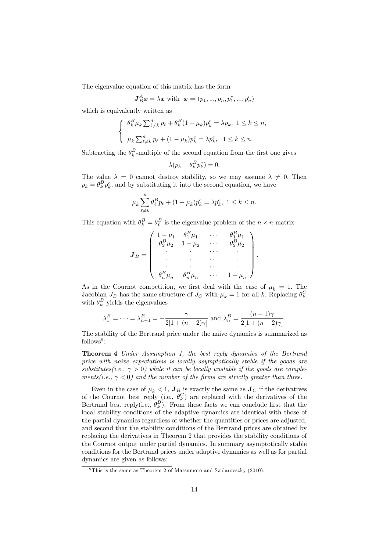The eigenvalue equation of this matrix has the form

$$
\boldsymbol{J}_{B}^{A}\boldsymbol{x} = \lambda \boldsymbol{x} \text{ with } \boldsymbol{x} = (p_1, ..., p_n, p_1^e, ..., p_n^e)
$$

which is equivalently written as

$$
\begin{cases} \n\theta_k^B \mu_k \sum_{\ell \neq k}^n p_\ell + \theta_k^B (1 - \mu_k) p_k^e = \lambda p_k, \ 1 \leq k \leq n, \\
\mu_k \sum_{\ell \neq k}^n p_\ell + (1 - \mu_k) p_k^e = \lambda p_k^e, \ 1 \leq k \leq n.\n\end{cases}
$$

Subtracting the  $\theta_k^B$ -multiple of the second equation from the first one gives

$$
\lambda(p_k - \theta_k^B p_k^e) = 0.
$$

The value  $\lambda = 0$  cannot destroy stability, so we may assume  $\lambda \neq 0$ . Then  $p_k = \theta_k^B p_k^e$ , and by substituting it into the second equation, we have

$$
\mu_k \sum_{\ell \neq k}^n \theta_{\ell}^B p_{\ell} + (1 - \mu_k) p_k^e = \lambda p_k^e, \ 1 \leq k \leq n.
$$

This equation with  $\theta_k^B = \theta_\ell^B$  is the eigenvalue problem of the  $n \times n$  matrix

$$
\pmb{J}_B = \begin{pmatrix} 1 - \mu_1 & \theta_1^B \mu_1 & \cdots & \theta_1^B \mu_1 \\ \theta_2^B \mu_2 & 1 - \mu_2 & \cdots & \theta_2^B \mu_2 \\ \cdot & \cdot & \cdots & \cdot \\ \cdot & \cdot & \cdots & \cdot \\ \cdot & \cdot & \cdots & \cdot \\ \theta_n^B \mu_n & \theta_n^B \mu_n & \cdots & 1 - \mu_n \end{pmatrix}.
$$

As in the Cournot competition, we first deal with the case of  $\mu_k = 1$ . The Jacobian  $J_B$  has the same structure of  $J_C$  with  $\mu_k = 1$  for all k. Replacing  $\theta_k^C$ with  $\theta_k^B$  yields the eigenvalues

$$
\lambda_1^B = \dots = \lambda_{n-1}^B = -\frac{\gamma}{2[1 + (n-2)\gamma]}
$$
 and  $\lambda_n^B = \frac{(n-1)\gamma}{2[1 + (n-2)\gamma]}$ .

The stability of the Bertrand price under the naive dynamics is summarized as  $follows<sup>8</sup>$ :

Theorem 4 Under Assumption 1, the best reply dynamics of the Bertrand price with naive expectations is locally asymptotically stable if the goods are substitutes(i.e.,  $\gamma > 0$ ) while it can be locally unstable if the goods are complements(i.e.,  $\gamma$  < 0) and the number of the firms are strictly greater than three.

Even in the case of  $\mu_k < 1$ ,  $J_B$  is exactly the same as  $J_C$  if the derivatives of the Cournot best reply (i.e.,  $\theta_k^C$ ) are replaced with the derivatives of the Bertrand best reply(i.e.,  $\theta_k^B$ ). From these facts we can conclude first that the local stability conditions of the adaptive dynamics are identical with those of the partial dynamics regardless of whether the quantities or prices are adjusted, and second that the stability conditions of the Bertrand prices are obtained by replacing the derivatives in Theorem 2 that provides the stability conditions of the Cournot output under partial dynamics. In summary asymptotically stable conditions for the Bertrand prices under adaptive dynamics as well as for partial dynamics are given as follows:

 $8$ This is the same as Theorem 2 of Matsumoto and Szidarovszky (2010).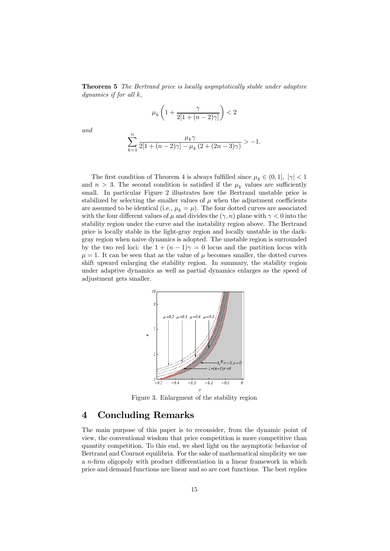**Theorem 5** The Bertrand price is locally asymptotically stable under adaptive dynamics if for all k,

$$
\mu_k\left(1+\frac{\gamma}{2[1+(n-2)\gamma]}\right)<2
$$

and

$$
\sum_{k=1}^{n} \frac{\mu_k \gamma}{2[1 + (n-2)\gamma] - \mu_k (2 + (2n-3)\gamma)} > -1.
$$

The first condition of Theorem 4 is always fulfilled since  $\mu_k \in (0,1]$ ,  $|\gamma| < 1$ and  $n > 3$ . The second condition is satisfied if the  $\mu_k$  values are sufficiently small. In particular Figure 2 illustrates how the Bertrand unstable price is stabilized by selecting the smaller values of  $\mu$  when the adjustment coefficients are assumed to be identical (i.e.,  $\mu_k = \mu$ ). The four dotted curves are associated with the four different values of  $\mu$  and divides the  $(\gamma, n)$  plane with  $\gamma < 0$  into the stability region under the curve and the instability region above. The Bertrand price is locally stable in the light-gray region and locally unstable in the darkgray region when naive dynamics is adopted. The unstable region is surrounded by the two red loci: the  $1+(n-1)\gamma=0$  locus and the partition locus with  $\mu = 1$ . It can be seen that as the value of  $\mu$  becomes smaller, the dotted curves shift upward enlarging the stability region. In summary, the stability region under adaptive dynamics as well as partial dynamics enlarges as the speed of adjustment gets smaller.



Figure 3. Enlargment of the stability region

## 4 Concluding Remarks

The main purpose of this paper is to reconsider, from the dynamic point of view, the conventional wisdom that price competition is more competitive than quantity competition. To this end, we shed light on the asymptotic behavior of Bertrand and Cournot equilibria. For the sake of mathematical simplicity we use a n-firm oligopoly with product differentiation in a linear framework in which price and demand functions are linear and so are cost functions. The best replies